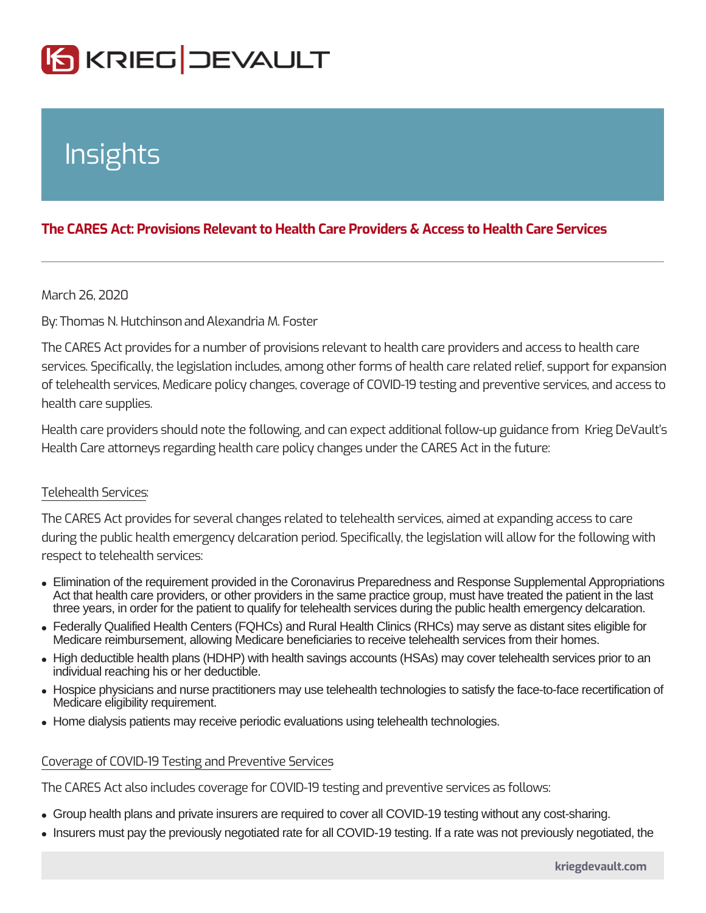# Insights

## The CARES Act: Provisions Relevant to Health Care Providers & Access to

March 26, 2020

ByThomas N. Hutchin&demandria M. Foster

The CARES Act provides for a number of provisions relevant to health care providers services. Specifically, the legislation includes, among other forms of health care of telehealth services, Medicare policy changes, coverage of COVID-19 testing a health care supplies.

Health care providers should note the following, and can expect additional follow Health Care attorneys regarding health care policy changes under the CARES Act

### Telehealth Services :

The CARES Act provides for several changes related to telehealth services, aime during the public health emergency delcaration period. Specifically, the legislation respect to telehealth services:

- Elimination of the requirement provided in the Coronavirus Preparedness and Response Supplemental Appropriations Act that health care providers, or other providers in the same practice group, must have treated the patient in the last three years, in order for the patient to qualify for telehealth services during the public health emergency delcaration.
- Federally Qualified Health Centers (FQHCs) and Rural Health Clinics (RHCs) may serve as distant sites eligible for Medicare reimbursement, allowing Medicare beneficiaries to receive telehealth services from their homes.
- High deductible health plans (HDHP) with health savings accounts (HSAs) may cover telehealth services prior to an individual reaching his or her deductible.
- Hospice physicians and nurse practitioners may use telehealth technologies to satisfy the face-to-face recertification of Medicare eligibility requirement.
- Home dialysis patients may receive periodic evaluations using telehealth technologies.

### Coverage of COVID-19 Testing and Preventive Services :

The CARES Act also includes coverage for COVID-19 testing and preventive serv

Group health plans and private insurers are required to cover all COVID-19 testing without any cost-sharing.

• Insurers must pay the previously negotiated rate for all COVID-19 testing. If a rate was not previously negotiated, the